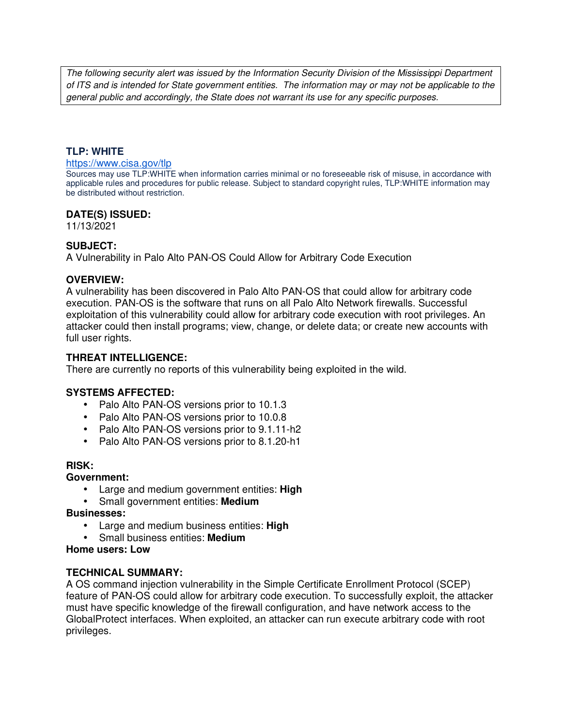The following security alert was issued by the Information Security Division of the Mississippi Department of ITS and is intended for State government entities. The information may or may not be applicable to the general public and accordingly, the State does not warrant its use for any specific purposes.

### **TLP: WHITE**

#### https://www.cisa.gov/tlp

Sources may use TLP:WHITE when information carries minimal or no foreseeable risk of misuse, in accordance with applicable rules and procedures for public release. Subject to standard copyright rules, TLP:WHITE information may be distributed without restriction.

### **DATE(S) ISSUED:**

11/13/2021

### **SUBJECT:**

A Vulnerability in Palo Alto PAN-OS Could Allow for Arbitrary Code Execution

### **OVERVIEW:**

A vulnerability has been discovered in Palo Alto PAN-OS that could allow for arbitrary code execution. PAN-OS is the software that runs on all Palo Alto Network firewalls. Successful exploitation of this vulnerability could allow for arbitrary code execution with root privileges. An attacker could then install programs; view, change, or delete data; or create new accounts with full user rights.

### **THREAT INTELLIGENCE:**

There are currently no reports of this vulnerability being exploited in the wild.

## **SYSTEMS AFFECTED:**

- Palo Alto PAN-OS versions prior to 10.1.3
- Palo Alto PAN-OS versions prior to 10.0.8
- Palo Alto PAN-OS versions prior to 9.1.11-h2
- Palo Alto PAN-OS versions prior to 8.1.20-h1

#### **RISK:**

#### **Government:**

- Large and medium government entities: **High**
- Small government entities: **Medium**

#### **Businesses:**

- Large and medium business entities: **High**
- Small business entities: **Medium**
- **Home users: Low**

#### **TECHNICAL SUMMARY:**

A OS command injection vulnerability in the Simple Certificate Enrollment Protocol (SCEP) feature of PAN-OS could allow for arbitrary code execution. To successfully exploit, the attacker must have specific knowledge of the firewall configuration, and have network access to the GlobalProtect interfaces. When exploited, an attacker can run execute arbitrary code with root privileges.